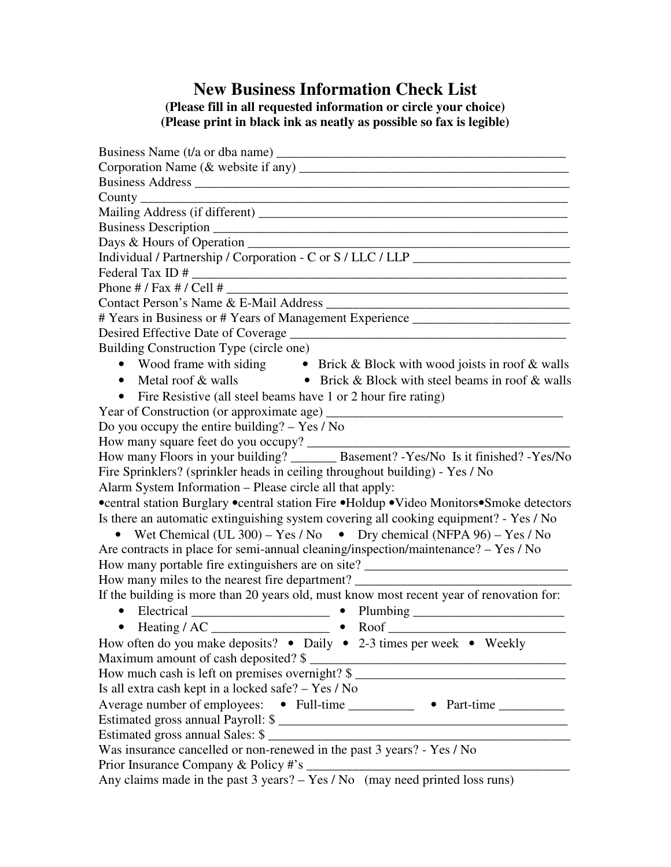## **New Business Information Check List (Please fill in all requested information or circle your choice) (Please print in black ink as neatly as possible so fax is legible)**

| County experience of the contract of the contract of the contract of the contract of the contract of the contract of the contract of the contract of the contract of the contract of the contract of the contract of the contr |
|--------------------------------------------------------------------------------------------------------------------------------------------------------------------------------------------------------------------------------|
|                                                                                                                                                                                                                                |
|                                                                                                                                                                                                                                |
|                                                                                                                                                                                                                                |
| Individual / Partnership / Corporation - C or S / LLC / LLP ____________________                                                                                                                                               |
|                                                                                                                                                                                                                                |
|                                                                                                                                                                                                                                |
|                                                                                                                                                                                                                                |
| # Years in Business or # Years of Management Experience                                                                                                                                                                        |
| Desired Effective Date of Coverage<br><u> 1989 - Johann Barbara, martxa alemaniar arg</u>                                                                                                                                      |
| Building Construction Type (circle one)                                                                                                                                                                                        |
| • Wood frame with siding • Brick & Block with wood joists in roof & walls<br>• Metal roof & walls • Brick & Block with steel beams in roof & walls                                                                             |
|                                                                                                                                                                                                                                |
| Fire Resistive (all steel beams have 1 or 2 hour fire rating)<br>$\bullet$                                                                                                                                                     |
| Year of Construction (or approximate age)                                                                                                                                                                                      |
| Do you occupy the entire building? $-$ Yes / No                                                                                                                                                                                |
| How many square feet do you occupy?                                                                                                                                                                                            |
| How many Floors in your building? ________ Basement? -Yes/No Is it finished? -Yes/No                                                                                                                                           |
| Fire Sprinklers? (sprinkler heads in ceiling throughout building) - Yes / No                                                                                                                                                   |
| Alarm System Information - Please circle all that apply:                                                                                                                                                                       |
| •central station Burglary •central station Fire •Holdup •Video Monitors•Smoke detectors                                                                                                                                        |
| Is there an automatic extinguishing system covering all cooking equipment? - Yes / No                                                                                                                                          |
| • Wet Chemical (UL 300) – Yes / No • Dry chemical (NFPA 96) – Yes / No                                                                                                                                                         |
| Are contracts in place for semi-annual cleaning/inspection/maintenance? – Yes / No                                                                                                                                             |
| How many portable fire extinguishers are on site? ______________________________                                                                                                                                               |
| How many miles to the nearest fire department?                                                                                                                                                                                 |
| If the building is more than 20 years old, must know most recent year of renovation for:                                                                                                                                       |
| • Electrical ____________________________ • Plumbing ___________________________                                                                                                                                               |
|                                                                                                                                                                                                                                |
| How often do you make deposits? • Daily • 2-3 times per week • Weekly                                                                                                                                                          |
| Maximum amount of cash deposited? \$                                                                                                                                                                                           |
| How much cash is left on premises overnight? \$                                                                                                                                                                                |
| Is all extra cash kept in a locked safe? - Yes / No                                                                                                                                                                            |
| Average number of employees: • Full-time __________ • Part-time _________                                                                                                                                                      |
| Estimated gross annual Payroll: \$                                                                                                                                                                                             |
| Estimated gross annual Sales: \$                                                                                                                                                                                               |
| Was insurance cancelled or non-renewed in the past 3 years? - Yes / No                                                                                                                                                         |
| Prior Insurance Company & Policy #'s ____                                                                                                                                                                                      |
| Any claims made in the past $3 \text{ years?} - \text{Yes} / \text{No}$ (may need printed loss runs)                                                                                                                           |